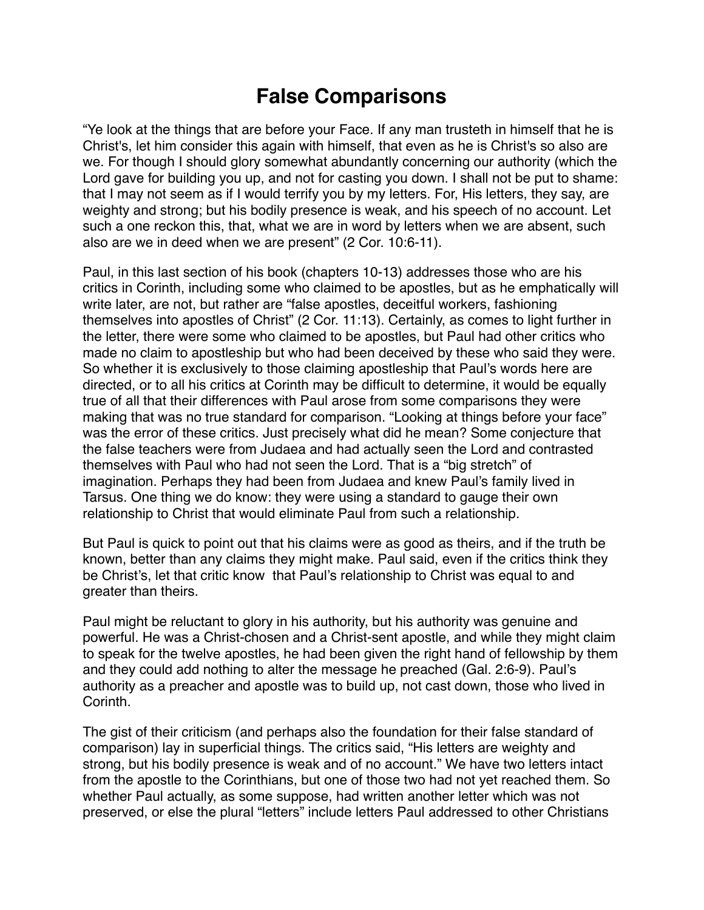## **False Comparisons**

"Ye look at the things that are before your Face. If any man trusteth in himself that he is Christ's, let him consider this again with himself, that even as he is Christ's so also are we. For though I should glory somewhat abundantly concerning our authority (which the Lord gave for building you up, and not for casting you down. I shall not be put to shame: that I may not seem as if I would terrify you by my letters. For, His letters, they say, are weighty and strong; but his bodily presence is weak, and his speech of no account. Let such a one reckon this, that, what we are in word by letters when we are absent, such also are we in deed when we are present" (2 Cor. 10:6-11).

Paul, in this last section of his book (chapters 10-13) addresses those who are his critics in Corinth, including some who claimed to be apostles, but as he emphatically will write later, are not, but rather are "false apostles, deceitful workers, fashioning themselves into apostles of Christ" (2 Cor. 11:13). Certainly, as comes to light further in the letter, there were some who claimed to be apostles, but Paul had other critics who made no claim to apostleship but who had been deceived by these who said they were. So whether it is exclusively to those claiming apostleship that Paul's words here are directed, or to all his critics at Corinth may be difficult to determine, it would be equally true of all that their differences with Paul arose from some comparisons they were making that was no true standard for comparison. "Looking at things before your face" was the error of these critics. Just precisely what did he mean? Some conjecture that the false teachers were from Judaea and had actually seen the Lord and contrasted themselves with Paul who had not seen the Lord. That is a "big stretch" of imagination. Perhaps they had been from Judaea and knew Paul's family lived in Tarsus. One thing we do know: they were using a standard to gauge their own relationship to Christ that would eliminate Paul from such a relationship.

But Paul is quick to point out that his claims were as good as theirs, and if the truth be known, better than any claims they might make. Paul said, even if the critics think they be Christ's, let that critic know that Paul's relationship to Christ was equal to and greater than theirs.

Paul might be reluctant to glory in his authority, but his authority was genuine and powerful. He was a Christ-chosen and a Christ-sent apostle, and while they might claim to speak for the twelve apostles, he had been given the right hand of fellowship by them and they could add nothing to alter the message he preached (Gal. 2:6-9). Paul's authority as a preacher and apostle was to build up, not cast down, those who lived in Corinth.

The gist of their criticism (and perhaps also the foundation for their false standard of comparison) lay in superficial things. The critics said, "His letters are weighty and strong, but his bodily presence is weak and of no account." We have two letters intact from the apostle to the Corinthians, but one of those two had not yet reached them. So whether Paul actually, as some suppose, had written another letter which was not preserved, or else the plural "letters" include letters Paul addressed to other Christians